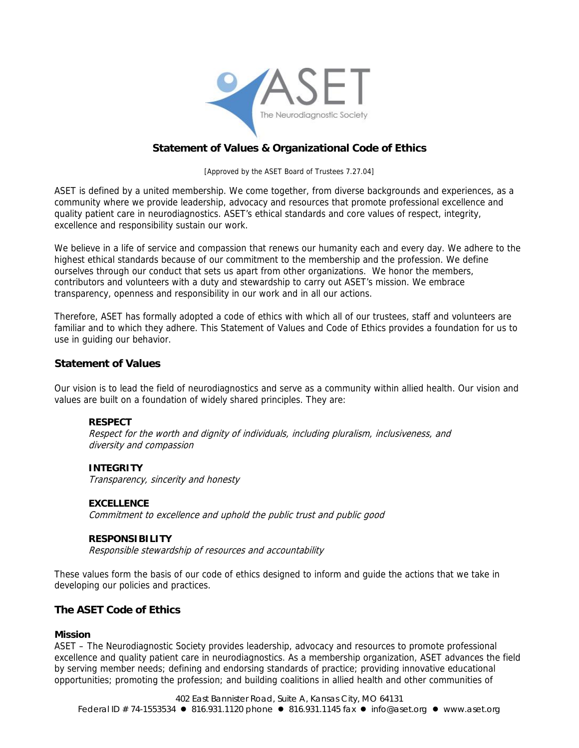

# **Statement of Values & Organizational Code of Ethics**

[Approved by the ASET Board of Trustees 7.27.04]

ASET is defined by a united membership. We come together, from diverse backgrounds and experiences, as a community where we provide leadership, advocacy and resources that promote professional excellence and quality patient care in neurodiagnostics. ASET's ethical standards and core values of respect, integrity, excellence and responsibility sustain our work.

We believe in a life of service and compassion that renews our humanity each and every day. We adhere to the highest ethical standards because of our commitment to the membership and the profession. We define ourselves through our conduct that sets us apart from other organizations. We honor the members, contributors and volunteers with a duty and stewardship to carry out ASET's mission. We embrace transparency, openness and responsibility in our work and in all our actions.

Therefore, ASET has formally adopted a code of ethics with which all of our trustees, staff and volunteers are familiar and to which they adhere. This Statement of Values and Code of Ethics provides a foundation for us to use in guiding our behavior.

# **Statement of Values**

Our vision is to lead the field of neurodiagnostics and serve as a community within allied health. Our vision and values are built on a foundation of widely shared principles. They are:

#### **RESPECT**

Respect for the worth and dignity of individuals, including pluralism, inclusiveness, and diversity and compassion

#### **INTEGRITY**

Transparency, sincerity and honesty

#### **EXCELLENCE**

Commitment to excellence and uphold the public trust and public good

#### **RESPONSIBILITY**

Responsible stewardship of resources and accountability

These values form the basis of our code of ethics designed to inform and guide the actions that we take in developing our policies and practices.

# **The ASET Code of Ethics**

#### **Mission**

ASET – The Neurodiagnostic Society provides leadership, advocacy and resources to promote professional excellence and quality patient care in neurodiagnostics. As a membership organization, ASET advances the field by serving member needs; defining and endorsing standards of practice; providing innovative educational opportunities; promoting the profession; and building coalitions in allied health and other communities of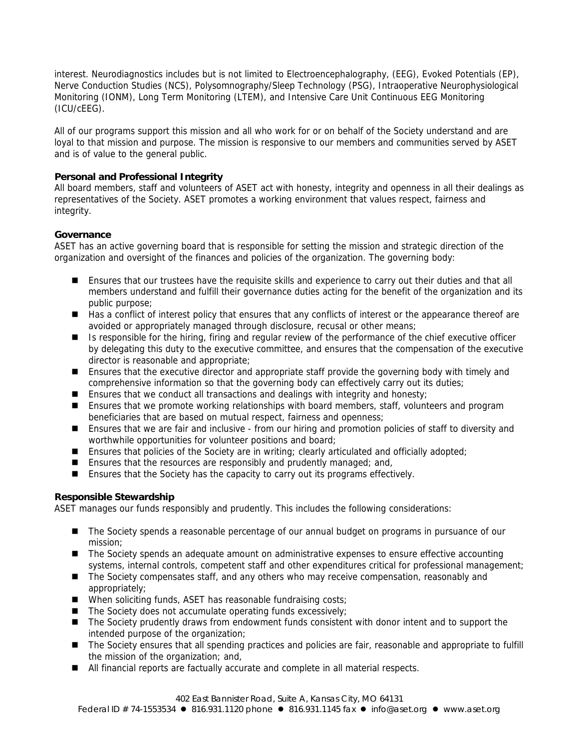interest. Neurodiagnostics includes but is not limited to Electroencephalography, (EEG), Evoked Potentials (EP), Nerve Conduction Studies (NCS), Polysomnography/Sleep Technology (PSG), Intraoperative Neurophysiological Monitoring (IONM), Long Term Monitoring (LTEM), and Intensive Care Unit Continuous EEG Monitoring (ICU/cEEG).

All of our programs support this mission and all who work for or on behalf of the Society understand and are loyal to that mission and purpose. The mission is responsive to our members and communities served by ASET and is of value to the general public.

# **Personal and Professional Integrity**

All board members, staff and volunteers of ASET act with honesty, integrity and openness in all their dealings as representatives of the Society. ASET promotes a working environment that values respect, fairness and integrity.

# **Governance**

ASET has an active governing board that is responsible for setting the mission and strategic direction of the organization and oversight of the finances and policies of the organization. The governing body:

- **Ensures that our trustees have the requisite skills and experience to carry out their duties and that all** members understand and fulfill their governance duties acting for the benefit of the organization and its public purpose;
- Has a conflict of interest policy that ensures that any conflicts of interest or the appearance thereof are avoided or appropriately managed through disclosure, recusal or other means;
- Is responsible for the hiring, firing and regular review of the performance of the chief executive officer by delegating this duty to the executive committee, and ensures that the compensation of the executive director is reasonable and appropriate;
- **E** Ensures that the executive director and appropriate staff provide the governing body with timely and comprehensive information so that the governing body can effectively carry out its duties;
- **Ensures that we conduct all transactions and dealings with integrity and honesty;**
- **E** Ensures that we promote working relationships with board members, staff, volunteers and program beneficiaries that are based on mutual respect, fairness and openness;
- Ensures that we are fair and inclusive from our hiring and promotion policies of staff to diversity and worthwhile opportunities for volunteer positions and board;
- **E** Ensures that policies of the Society are in writing; clearly articulated and officially adopted;
- **Ensures that the resources are responsibly and prudently managed; and,**
- Ensures that the Society has the capacity to carry out its programs effectively.

# **Responsible Stewardship**

ASET manages our funds responsibly and prudently. This includes the following considerations:

- The Society spends a reasonable percentage of our annual budget on programs in pursuance of our mission;
- The Society spends an adequate amount on administrative expenses to ensure effective accounting systems, internal controls, competent staff and other expenditures critical for professional management;
- The Society compensates staff, and any others who may receive compensation, reasonably and appropriately;
- When soliciting funds, ASET has reasonable fundraising costs;
- $\blacksquare$  The Society does not accumulate operating funds excessively;
- The Society prudently draws from endowment funds consistent with donor intent and to support the intended purpose of the organization;
- The Society ensures that all spending practices and policies are fair, reasonable and appropriate to fulfill the mission of the organization; and,
- All financial reports are factually accurate and complete in all material respects.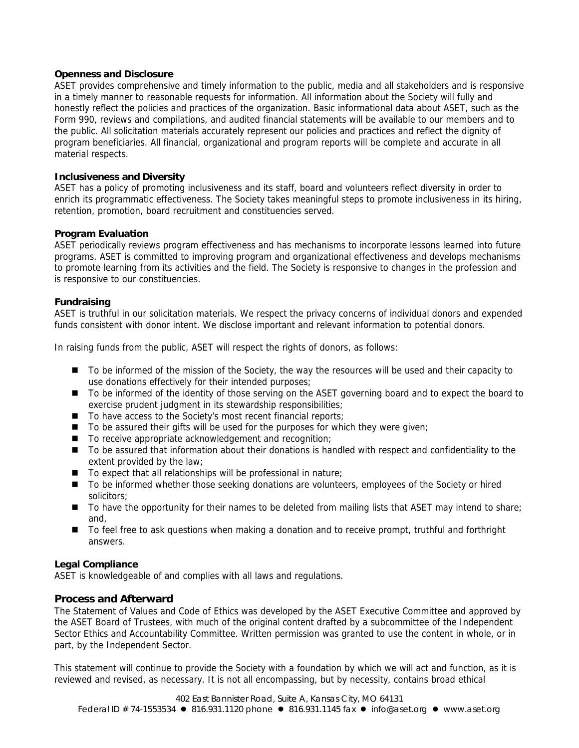#### **Openness and Disclosure**

ASET provides comprehensive and timely information to the public, media and all stakeholders and is responsive in a timely manner to reasonable requests for information. All information about the Society will fully and honestly reflect the policies and practices of the organization. Basic informational data about ASET, such as the Form 990, reviews and compilations, and audited financial statements will be available to our members and to the public. All solicitation materials accurately represent our policies and practices and reflect the dignity of program beneficiaries. All financial, organizational and program reports will be complete and accurate in all material respects.

### **Inclusiveness and Diversity**

ASET has a policy of promoting inclusiveness and its staff, board and volunteers reflect diversity in order to enrich its programmatic effectiveness. The Society takes meaningful steps to promote inclusiveness in its hiring, retention, promotion, board recruitment and constituencies served.

#### **Program Evaluation**

ASET periodically reviews program effectiveness and has mechanisms to incorporate lessons learned into future programs. ASET is committed to improving program and organizational effectiveness and develops mechanisms to promote learning from its activities and the field. The Society is responsive to changes in the profession and is responsive to our constituencies.

#### **Fundraising**

ASET is truthful in our solicitation materials. We respect the privacy concerns of individual donors and expended funds consistent with donor intent. We disclose important and relevant information to potential donors.

In raising funds from the public, ASET will respect the rights of donors, as follows:

- $\blacksquare$  To be informed of the mission of the Society, the way the resources will be used and their capacity to use donations effectively for their intended purposes;
- To be informed of the identity of those serving on the ASET governing board and to expect the board to exercise prudent judgment in its stewardship responsibilities;
- $\blacksquare$  To have access to the Society's most recent financial reports;
- $\blacksquare$  To be assured their gifts will be used for the purposes for which they were given;
- To receive appropriate acknowledgement and recognition;
- To be assured that information about their donations is handled with respect and confidentiality to the extent provided by the law;
- $\blacksquare$  To expect that all relationships will be professional in nature;
- To be informed whether those seeking donations are volunteers, employees of the Society or hired solicitors;
- To have the opportunity for their names to be deleted from mailing lists that ASET may intend to share; and,
- To feel free to ask questions when making a donation and to receive prompt, truthful and forthright answers.

# **Legal Compliance**

ASET is knowledgeable of and complies with all laws and regulations.

# **Process and Afterward**

The Statement of Values and Code of Ethics was developed by the ASET Executive Committee and approved by the ASET Board of Trustees, with much of the original content drafted by a subcommittee of the Independent Sector Ethics and Accountability Committee. Written permission was granted to use the content in whole, or in part, by the Independent Sector.

This statement will continue to provide the Society with a foundation by which we will act and function, as it is reviewed and revised, as necessary. It is not all encompassing, but by necessity, contains broad ethical